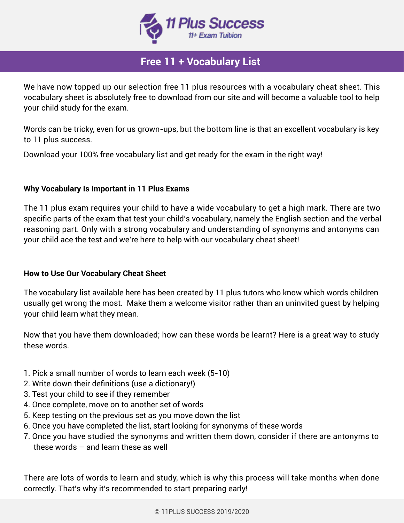

# **Free 11 + Vocabulary List**

We have now topped up our selection free 11 plus resources with a vocabulary cheat sheet. This vocabulary sheet is absolutely free to download from our site and will become a valuable tool to help your child study for the exam.

Words can be tricky, even for us grown-ups, but the bottom line is that an excellent vocabulary is key to 11 plus success.

Download your 100% free vocabulary list and get ready for the exam in the right way!

### **Why Vocabulary Is Important in 11 Plus Exams**

The 11 plus exam requires your child to have a wide vocabulary to get a high mark. There are two specific parts of the exam that test your child's vocabulary, namely the English section and the verbal reasoning part. Only with a strong vocabulary and understanding of synonyms and antonyms can your child ace the test and we're here to help with our vocabulary cheat sheet!

### **How to Use Our Vocabulary Cheat Sheet**

The vocabulary list available here has been created by 11 plus tutors who know which words children usually get wrong the most. Make them a welcome visitor rather than an uninvited guest by helping your child learn what they mean.

Now that you have them downloaded; how can these words be learnt? Here is a great way to study these words.

- 1. Pick a small number of words to learn each week (5-10)
- 2. Write down their definitions (use a dictionary!)
- 3. Test your child to see if they remember
- 4. Once complete, move on to another set of words
- 5. Keep testing on the previous set as you move down the list
- 6. Once you have completed the list, start looking for synonyms of these words
- 7. Once you have studied the synonyms and written them down, consider if there are antonyms to these words – and learn these as well

There are lots of words to learn and study, which is why this process will take months when done correctly. That's why it's recommended to start preparing early!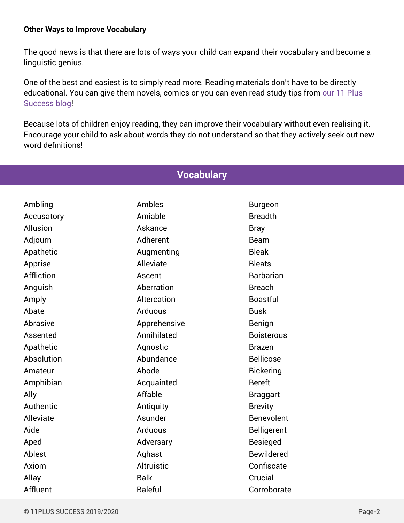#### **Other Ways to Improve Vocabulary**

The good news is that there are lots of ways your child can expand their vocabulary and become a linguistic genius.

One of the best and easiest is to simply read more. Reading materials don't have to be directly educational. You can give them novels, comics or you can even read study tips from our 11 Plus Success blog!

Because lots of children enjoy reading, they can improve their vocabulary without even realising it. Encourage your child to ask about words they do not understand so that they actively seek out new word definitions!

| vocabulai y |                   |                    |
|-------------|-------------------|--------------------|
|             |                   |                    |
| Ambling     | Ambles            | <b>Burgeon</b>     |
| Accusatory  | Amiable           | <b>Breadth</b>     |
| Allusion    | Askance           | <b>Bray</b>        |
| Adjourn     | Adherent          | <b>Beam</b>        |
| Apathetic   | Augmenting        | <b>Bleak</b>       |
| Apprise     | Alleviate         | <b>Bleats</b>      |
| Affliction  | Ascent            | <b>Barbarian</b>   |
| Anguish     | Aberration        | <b>Breach</b>      |
| Amply       | Altercation       | <b>Boastful</b>    |
| Abate       | Arduous           | <b>Busk</b>        |
| Abrasive    | Apprehensive      | Benign             |
| Assented    | Annihilated       | <b>Boisterous</b>  |
| Apathetic   | Agnostic          | <b>Brazen</b>      |
| Absolution  | Abundance         | <b>Bellicose</b>   |
| Amateur     | Abode             | <b>Bickering</b>   |
| Amphibian   | Acquainted        | <b>Bereft</b>      |
| Ally        | Affable           | <b>Braggart</b>    |
| Authentic   | Antiquity         | <b>Brevity</b>     |
| Alleviate   | Asunder           | <b>Benevolent</b>  |
| Aide        | Arduous           | <b>Belligerent</b> |
| Aped        | Adversary         | <b>Besieged</b>    |
| Ablest      | Aghast            | <b>Bewildered</b>  |
| Axiom       | <b>Altruistic</b> | Confiscate         |
| Allay       | <b>Balk</b>       | Crucial            |
| Affluent    | <b>Baleful</b>    | Corroborate        |

## **Vocabulary**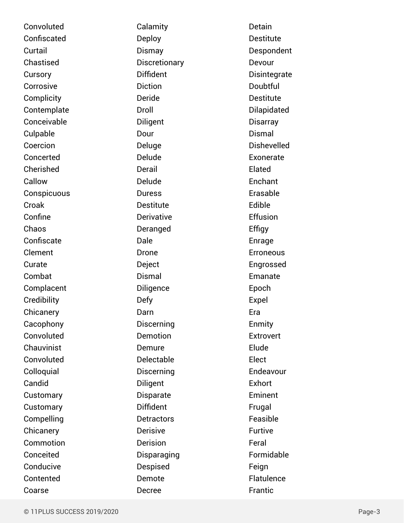Convoluted Confiscated **Curtail** Chastised **Cursory** Corrosive **Complicity** Contemplate Conceivable Culpable Coercion Concerted Cherished Callow **Conspicuous** Croak Confine Chaos **Confiscate** Clement Curate Combat Complacent **Credibility Chicanery** Cacophony Convoluted Chauvinist Convoluted **Colloquial** Candid **Customary Customary** Compelling **Chicanery** Commotion Conceited Conducive Contented Coarse

Calamity Deploy Dismay **Discretionary** Diffident Diction Deride Droll **Diligent** Dour Deluge Delude Derail Delude Duress Destitute **Derivative** Deranged Dale Drone Deject Dismal Diligence Defy Darn Discerning Demotion Demure Delectable Discerning Diligent **Disparate** Diffident **Detractors** Derisive Derision **Disparaging** Despised Demote Decree

Detain **Destitute** Despondent Devour **Disintegrate Doubtful Destitute** Dilapidated **Disarray** Dismal Dishevelled Exonerate Elated **Enchant** Erasable Edible Effusion Effigy Enrage **Erroneous** Engrossed Emanate Epoch Expel Era Enmity **Extrovert** Elude Elect Endeavour Exhort **Eminent** Frugal Feasible Furtive Feral Formidable **Feign Flatulence** Frantic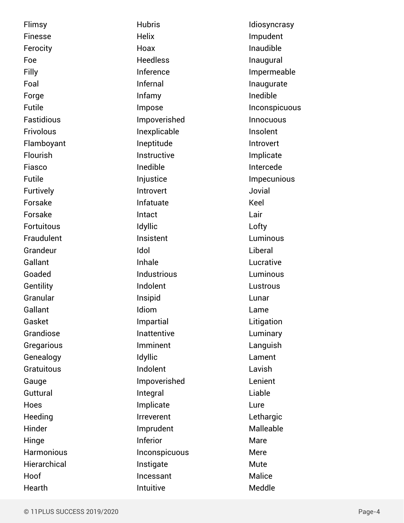Flimsy Finesse Ferocity Foe Filly Foal Forge Futile Fastidious **Frivolous** Flamboyant Flourish Fiasco Futile **Furtively** Forsake Forsake Fortuitous Fraudulent Grandeur Gallant Goaded **Gentility** Granular Gallant Gasket Grandiose **Gregarious Genealogy Gratuitous** Gauge **Guttural** Hoes **Heeding** Hinder **Hinge Harmonious Hierarchical** Hoof Hearth

**Hubris Helix** Hoax Heedless Inference Infernal Infamy Impose Impoverished Inexplicable Ineptitude Instructive Inedible **Injustice** Introvert Infatuate Intact Idyllic Insistent Idol Inhale Industrious Indolent Insipid Idiom Impartial Inattentive Imminent **Idvllic** Indolent Impoverished Integral Implicate Irreverent Imprudent Inferior Inconspicuous Instigate Incessant Intuitive

Idiosyncrasy Impudent Inaudible Inaugural Impermeable Inaugurate Inedible **Inconspicuous** Innocuous Insolent Introvert Implicate Intercede Impecunious Jovial Keel Lair Lofty Luminous Liberal Lucrative Luminous **Lustrous** Lunar Lame Litigation **Luminary** Languish Lament Lavish Lenient Liable Lure **Lethargic** Malleable Mare Mere Mute Malice Meddle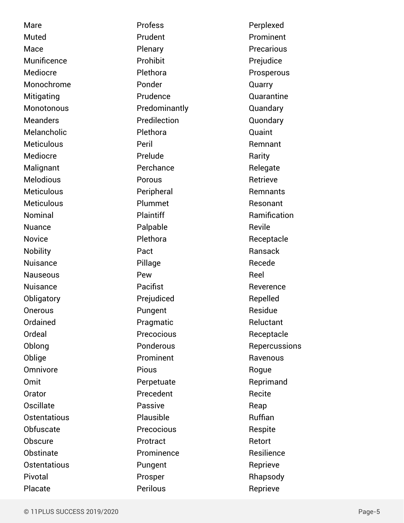Mare Muted Mace Munificence Mediocre Monochrome Mitigating **Monotonous** Meanders Melancholic **Meticulous** Mediocre Malignant Melodious **Meticulous Meticulous** Nominal Nuance Novice **Nobility** Nuisance **Nauseous Nuisance Obligatory Onerous** Ordained Ordeal Oblong Oblige **Omnivore** Omit **Orator Oscillate Ostentatious Obfuscate Obscure Obstinate Ostentatious** Pivotal

Profess Prudent Plenary Prohibit Plethora Ponder Prudence Predominantly Predilection Plethora Peril Prelude Perchance Porous Peripheral Plummet Plaintiff Palpable Plethora Pact Pillage Pew Pacifist Prejudiced Pungent Pragmatic Precocious Ponderous Prominent Pious Perpetuate Precedent Passive Plausible Precocious Protract Prominence Pungent Prosper Perilous

Perplexed Prominent **Precarious** Prejudice Prosperous Quarry Quarantine Quandary Quondary Quaint Remnant Rarity Relegate Retrieve Remnants Resonant Ramification Revile Receptacle Ransack Recede Reel **Reverence** Repelled Residue Reluctant Receptacle **Repercussions Ravenous** Rogue Reprimand Recite Reap Ruffian Respite Retort **Resilience** Reprieve Rhapsody Reprieve

Placate